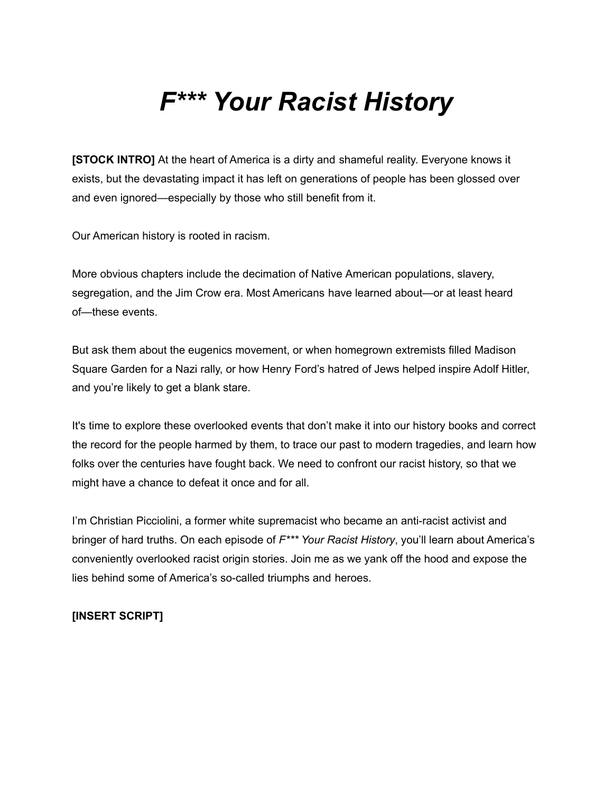## *F\*\*\* Your Racist History*

**[STOCK INTRO]** At the heart of America is a dirty and shameful reality. Everyone knows it exists, but the devastating impact it has left on generations of people has been glossed over and even ignored—especially by those who still benefit from it.

Our American history is rooted in racism.

More obvious chapters include the decimation of Native American populations, slavery, segregation, and the Jim Crow era. Most Americans have learned about—or at least heard of—these events.

But ask them about the eugenics movement, or when homegrown extremists filled Madison Square Garden for a Nazi rally, or how Henry Ford's hatred of Jews helped inspire Adolf Hitler, and you're likely to get a blank stare.

It's time to explore these overlooked events that don't make it into our history books and correct the record for the people harmed by them, to trace our past to modern tragedies, and learn how folks over the centuries have fought back. We need to confront our racist history, so that we might have a chance to defeat it once and for all.

I'm Christian Picciolini, a former white supremacist who became an anti-racist activist and bringer of hard truths. On each episode of *F\*\*\* Your Racist History*, you'll learn about America's conveniently overlooked racist origin stories. Join me as we yank off the hood and expose the lies behind some of America's so-called triumphs and heroes.

## **[INSERT SCRIPT]**